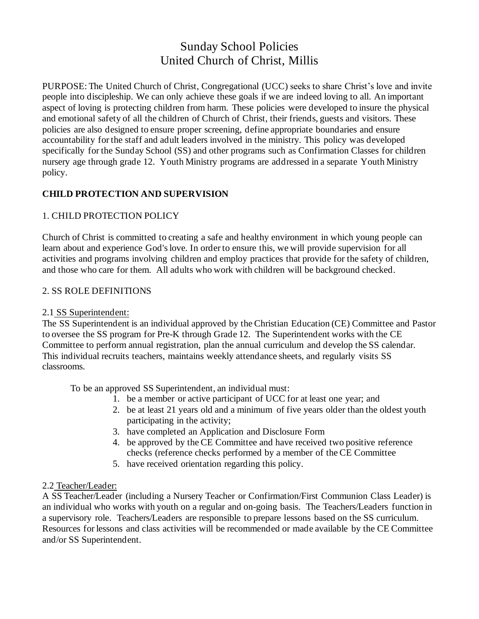# Sunday School Policies United Church of Christ, Millis

PURPOSE: The United Church of Christ, Congregational (UCC) seeks to share Christ's love and invite people into discipleship. We can only achieve these goals if we are indeed loving to all. An important aspect of loving is protecting children from harm. These policies were developed to insure the physical and emotional safety of all the children of Church of Christ, their friends, guests and visitors. These policies are also designed to ensure proper screening, define appropriate boundaries and ensure accountability for the staff and adult leaders involved in the ministry. This policy was developed specifically for the Sunday School (SS) and other programs such as Confirmation Classes for children nursery age through grade 12. Youth Ministry programs are addressed in a separate Youth Ministry policy.

### **CHILD PROTECTION AND SUPERVISION**

### 1. CHILD PROTECTION POLICY

Church of Christ is committed to creating a safe and healthy environment in which young people can learn about and experience God's love. In order to ensure this, we will provide supervision for all activities and programs involving children and employ practices that provide for the safety of children, and those who care for them. All adults who work with children will be background checked.

### 2. SS ROLE DEFINITIONS

### 2.1 SS Superintendent:

The SS Superintendent is an individual approved by the Christian Education (CE) Committee and Pastor to oversee the SS program for Pre-K through Grade 12. The Superintendent works with the CE Committee to perform annual registration, plan the annual curriculum and develop the SS calendar. This individual recruits teachers, maintains weekly attendance sheets, and regularly visits SS classrooms.

To be an approved SS Superintendent, an individual must:

- 1. be a member or active participant of UCC for at least one year; and
- 2. be at least 21 years old and a minimum of five years older than the oldest youth participating in the activity;
- 3. have completed an Application and Disclosure Form
- 4. be approved by the CE Committee and have received two positive reference checks (reference checks performed by a member of the CE Committee
- 5. have received orientation regarding this policy.

#### 2.2 Teacher/Leader:

A SS Teacher/Leader (including a Nursery Teacher or Confirmation/First Communion Class Leader) is an individual who works with youth on a regular and on-going basis. The Teachers/Leaders function in a supervisory role. Teachers/Leaders are responsible to prepare lessons based on the SS curriculum. Resources for lessons and class activities will be recommended or made available by the CE Committee and/or SS Superintendent.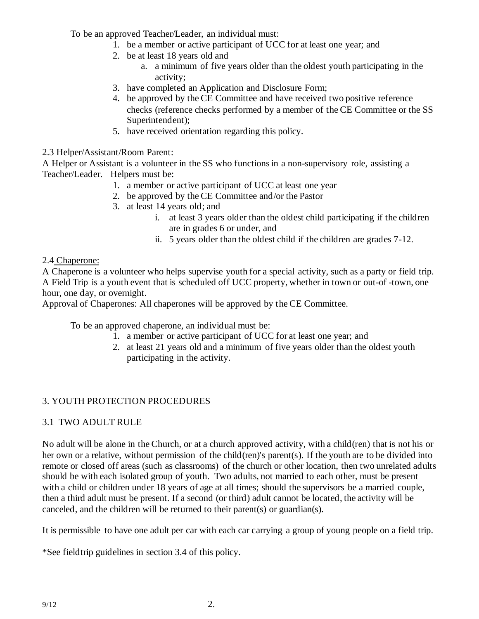To be an approved Teacher/Leader, an individual must:

- 1. be a member or active participant of UCC for at least one year; and
- 2. be at least 18 years old and
	- a. a minimum of five years older than the oldest youth participating in the activity;
- 3. have completed an Application and Disclosure Form;
- 4. be approved by the CE Committee and have received two positive reference checks (reference checks performed by a member of the CE Committee or the SS Superintendent);
- 5. have received orientation regarding this policy.

### 2.3 Helper/Assistant/Room Parent:

A Helper or Assistant is a volunteer in the SS who functions in a non-supervisory role, assisting a Teacher/Leader. Helpers must be:

- 1. a member or active participant of UCC at least one year
- 2. be approved by the CE Committee and/or the Pastor
- 3. at least 14 years old; and
	- i. at least 3 years older than the oldest child participating if the children are in grades 6 or under, and
	- ii. 5 years older than the oldest child if the children are grades 7-12.

### 2.4 Chaperone:

A Chaperone is a volunteer who helps supervise youth for a special activity, such as a party or field trip. A Field Trip is a youth event that is scheduled off UCC property, whether in town or out-of -town, one hour, one day, or overnight.

Approval of Chaperones: All chaperones will be approved by the CE Committee.

To be an approved chaperone, an individual must be:

- 1. a member or active participant of UCC for at least one year; and
- 2. at least 21 years old and a minimum of five years older than the oldest youth participating in the activity.

# 3. YOUTH PROTECTION PROCEDURES

### 3.1 TWO ADULT RULE

No adult will be alone in the Church, or at a church approved activity, with a child(ren) that is not his or her own or a relative, without permission of the child(ren)'s parent(s). If the youth are to be divided into remote or closed off areas (such as classrooms) of the church or other location, then two unrelated adults should be with each isolated group of youth. Two adults, not married to each other, must be present with a child or children under 18 years of age at all times; should the supervisors be a married couple, then a third adult must be present. If a second (or third) adult cannot be located, the activity will be canceled, and the children will be returned to their parent(s) or guardian(s).

It is permissible to have one adult per car with each car carrying a group of young people on a field trip.

\*See fieldtrip guidelines in section 3.4 of this policy.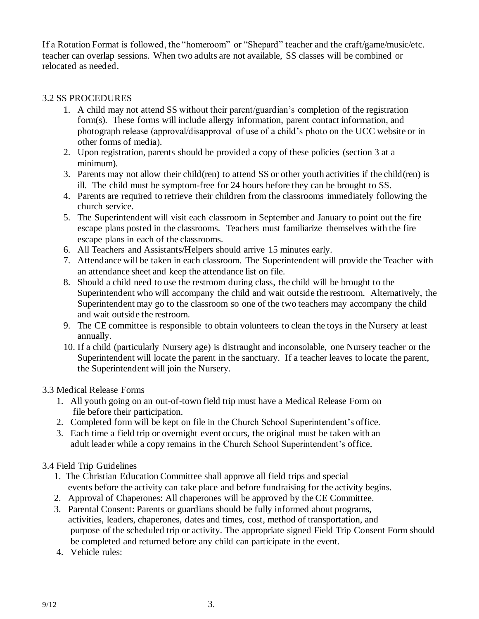If a Rotation Format is followed, the "homeroom" or "Shepard" teacher and the craft/game/music/etc. teacher can overlap sessions. When two adults are not available, SS classes will be combined or relocated as needed.

### 3.2 SS PROCEDURES

- 1. A child may not attend SS without their parent/guardian's completion of the registration form(s). These forms will include allergy information, parent contact information, and photograph release (approval/disapproval of use of a child's photo on the UCC website or in other forms of media).
- 2. Upon registration, parents should be provided a copy of these policies (section 3 at a minimum)*.*
- 3. Parents may not allow their child(ren) to attend SS or other youth activities if the child(ren) is ill. The child must be symptom-free for 24 hours before they can be brought to SS.
- 4. Parents are required to retrieve their children from the classrooms immediately following the church service.
- 5. The Superintendent will visit each classroom in September and January to point out the fire escape plans posted in the classrooms. Teachers must familiarize themselves with the fire escape plans in each of the classrooms.
- 6. All Teachers and Assistants/Helpers should arrive 15 minutes early.
- 7. Attendance will be taken in each classroom. The Superintendent will provide the Teacher with an attendance sheet and keep the attendance list on file.
- 8. Should a child need to use the restroom during class, the child will be brought to the Superintendent who will accompany the child and wait outside the restroom. Alternatively, the Superintendent may go to the classroom so one of the two teachers may accompany the child and wait outside the restroom.
- 9. The CE committee is responsible to obtain volunteers to clean the toys in the Nursery at least annually.
- 10. If a child (particularly Nursery age) is distraught and inconsolable, one Nursery teacher or the Superintendent will locate the parent in the sanctuary. If a teacher leaves to locate the parent, the Superintendent will join the Nursery.

#### 3.3 Medical Release Forms

- 1. All youth going on an out-of-town field trip must have a Medical Release Form on file before their participation.
- 2. Completed form will be kept on file in the Church School Superintendent's office.
- 3. Each time a field trip or overnight event occurs, the original must be taken with an adult leader while a copy remains in the Church School Superintendent's office.

### 3.4 Field Trip Guidelines

- 1. The Christian Education Committee shall approve all field trips and special events before the activity can take place and before fundraising for the activity begins.
- 2. Approval of Chaperones: All chaperones will be approved by the CE Committee.
- 3. Parental Consent: Parents or guardians should be fully informed about programs, activities, leaders, chaperones, dates and times, cost, method of transportation, and purpose of the scheduled trip or activity. The appropriate signed Field Trip Consent Form should be completed and returned before any child can participate in the event.
- 4. Vehicle rules: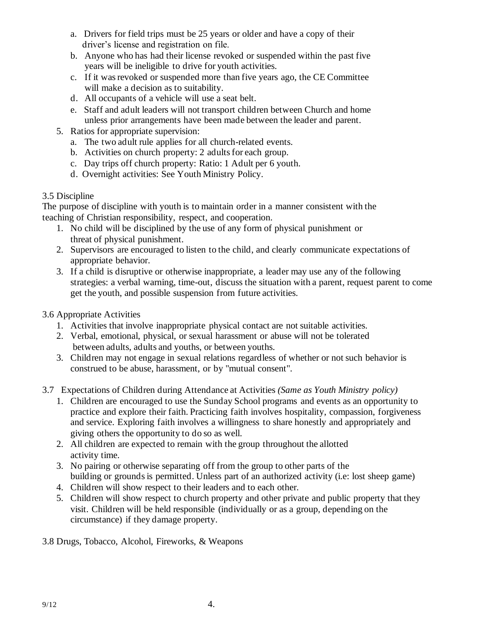- a. Drivers for field trips must be 25 years or older and have a copy of their driver's license and registration on file.
- b. Anyone who has had their license revoked or suspended within the past five years will be ineligible to drive for youth activities.
- c. If it was revoked or suspended more than five years ago, the CE Committee will make a decision as to suitability.
- d. All occupants of a vehicle will use a seat belt.
- e. Staff and adult leaders will not transport children between Church and home unless prior arrangements have been made between the leader and parent.
- 5. Ratios for appropriate supervision:
	- a. The two adult rule applies for all church-related events.
	- b. Activities on church property: 2 adults for each group.
	- c. Day trips off church property: Ratio: 1 Adult per 6 youth.
	- d. Overnight activities: See Youth Ministry Policy.

### 3.5 Discipline

The purpose of discipline with youth is to maintain order in a manner consistent with the teaching of Christian responsibility, respect, and cooperation.

- 1. No child will be disciplined by the use of any form of physical punishment or threat of physical punishment.
- 2. Supervisors are encouraged to listen to the child, and clearly communicate expectations of appropriate behavior.
- 3. If a child is disruptive or otherwise inappropriate, a leader may use any of the following strategies: a verbal warning, time-out, discuss the situation with a parent, request parent to come get the youth, and possible suspension from future activities.

## 3.6 Appropriate Activities

- 1. Activities that involve inappropriate physical contact are not suitable activities.
- 2. Verbal, emotional, physical, or sexual harassment or abuse will not be tolerated between adults, adults and youths, or between youths.
- 3. Children may not engage in sexual relations regardless of whether or not such behavior is construed to be abuse, harassment, or by "mutual consent".
- 3.7 Expectations of Children during Attendance at Activities *(Same as Youth Ministry policy)*
	- 1. Children are encouraged to use the Sunday School programs and events as an opportunity to practice and explore their faith. Practicing faith involves hospitality, compassion, forgiveness and service. Exploring faith involves a willingness to share honestly and appropriately and giving others the opportunity to do so as well.
	- 2. All children are expected to remain with the group throughout the allotted activity time.
	- 3. No pairing or otherwise separating off from the group to other parts of the building or grounds is permitted. Unless part of an authorized activity (i.e: lost sheep game)
	- 4. Children will show respect to their leaders and to each other.
	- 5. Children will show respect to church property and other private and public property that they visit. Children will be held responsible (individually or as a group, depending on the circumstance) if they damage property.
- 3.8 Drugs, Tobacco, Alcohol, Fireworks, & Weapons